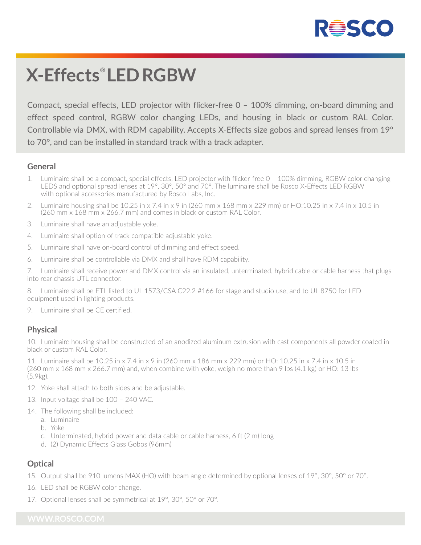

# **X-Effects® LED RGBW**

Compact, special effects, LED projector with flicker-free 0 – 100% dimming, on-board dimming and effect speed control, RGBW color changing LEDs, and housing in black or custom RAL Color. Controllable via DMX, with RDM capability. Accepts X-Effects size gobos and spread lenses from 19° to 70°, and can be installed in standard track with a track adapter.

#### **General**

- 1. Luminaire shall be a compact, special effects, LED projector with flicker-free 0 100% dimming, RGBW color changing LEDS and optional spread lenses at 19°, 30°, 50° and 70°. The luminaire shall be Rosco X-Effects LED RGBW with optional accessories manufactured by Rosco Labs, Inc.
- 2. Luminaire housing shall be 10.25 in x 7.4 in x 9 in (260 mm x 168 mm x 229 mm) or HO:10.25 in x 7.4 in x 10.5 in (260 mm x 168 mm x 266.7 mm) and comes in black or custom RAL Color.
- 3. Luminaire shall have an adjustable yoke.
- 4. Luminaire shall option of track compatible adjustable yoke.
- 5. Luminaire shall have on-board control of dimming and effect speed.
- 6. Luminaire shall be controllable via DMX and shall have RDM capability.

7. Luminaire shall receive power and DMX control via an insulated, unterminated, hybrid cable or cable harness that plugs into rear chassis UTL connector.

8. Luminaire shall be ETL listed to UL 1573/CSA C22.2 #166 for stage and studio use, and to UL 8750 for LED equipment used in lighting products.

9. Luminaire shall be CE certified.

#### **Physical**

10. Luminaire housing shall be constructed of an anodized aluminum extrusion with cast components all powder coated in black or custom RAL Color.

11. Luminaire shall be 10.25 in x 7.4 in x 9 in (260 mm x 186 mm x 229 mm) or HO: 10.25 in x 7.4 in x 10.5 in (260 mm x 168 mm x 266.7 mm) and, when combine with yoke, weigh no more than 9 lbs (4.1 kg) or HO: 13 lbs (5.9kg).

- 12. Yoke shall attach to both sides and be adjustable.
- 13. Input voltage shall be 100 240 VAC.
- 14. The following shall be included:
	- a. Luminaire
	- b. Yoke
	- c. Unterminated, hybrid power and data cable or cable harness, 6 ft (2 m) long
	- d. (2) Dynamic Effects Glass Gobos (96mm)

### **Optical**

- 15. Output shall be 910 lumens MAX (HO) with beam angle determined by optional lenses of 19°, 30°, 50° or 70°.
- 16. LED shall be RGBW color change.
- 17. Optional lenses shall be symmetrical at 19°, 30°, 50° or 70°.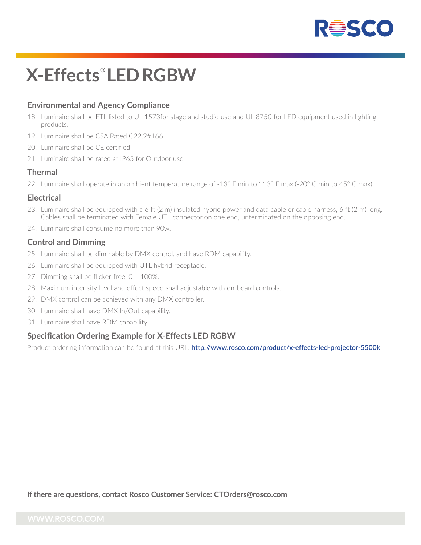

# **X-Effects® LED RGBW**

### **Environmental and Agency Compliance**

- 18. Luminaire shall be ETL listed to UL 1573for stage and studio use and UL 8750 for LED equipment used in lighting products.
- 19. Luminaire shall be CSA Rated C22.2#166.
- 20. Luminaire shall be CE certified.
- 21. Luminaire shall be rated at IP65 for Outdoor use.

#### **Thermal**

22. Luminaire shall operate in an ambient temperature range of -13° F min to 113° F max (-20° C min to 45° C max).

#### **Electrical**

- 23. Luminaire shall be equipped with a 6 ft (2 m) insulated hybrid power and data cable or cable harness, 6 ft (2 m) long. Cables shall be terminated with Female UTL connector on one end, unterminated on the opposing end.
- 24. Luminaire shall consume no more than 90w.

#### **Control and Dimming**

- 25. Luminaire shall be dimmable by DMX control, and have RDM capability.
- 26. Luminaire shall be equipped with UTL hybrid receptacle.
- 27. Dimming shall be flicker-free, 0 100%.
- 28. Maximum intensity level and effect speed shall adjustable with on-board controls.
- 29. DMX control can be achieved with any DMX controller.
- 30. Luminaire shall have DMX In/Out capability.
- 31. Luminaire shall have RDM capability.

#### **Specification Ordering Example for X-Effects LED RGBW**

Product ordering information can be found at this URL: **http://www.rosco.com/product/x-effects-led-projector-5500k**

**If there are questions, contact Rosco Customer Service: CTOrders@rosco.com**